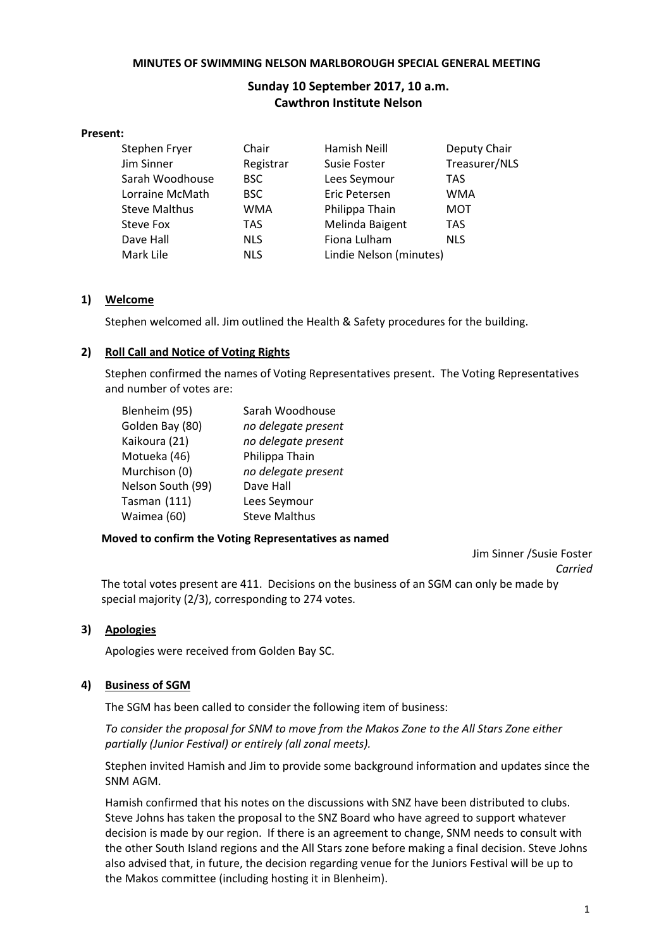#### **MINUTES OF SWIMMING NELSON MARLBOROUGH SPECIAL GENERAL MEETING**

# **Sunday 10 September 2017, 10 a.m. Cawthron Institute Nelson**

#### **Present:**

| Stephen Fryer        | Chair      | Hamish Neill            | Deputy Chair  |
|----------------------|------------|-------------------------|---------------|
| Jim Sinner           | Registrar  | Susie Foster            | Treasurer/NLS |
| Sarah Woodhouse      | <b>BSC</b> | Lees Seymour            | <b>TAS</b>    |
| Lorraine McMath      | <b>BSC</b> | Eric Petersen           | <b>WMA</b>    |
| <b>Steve Malthus</b> | <b>WMA</b> | Philippa Thain          | <b>MOT</b>    |
| Steve Fox            | TAS        | Melinda Baigent         | <b>TAS</b>    |
| Dave Hall            | <b>NLS</b> | Fiona Lulham            | <b>NLS</b>    |
| Mark Lile            | <b>NLS</b> | Lindie Nelson (minutes) |               |

# **1) Welcome**

Stephen welcomed all. Jim outlined the Health & Safety procedures for the building.

# **2) Roll Call and Notice of Voting Rights**

Stephen confirmed the names of Voting Representatives present. The Voting Representatives and number of votes are:

| Blenheim (95)     | Sarah Woodhouse      |
|-------------------|----------------------|
| Golden Bay (80)   | no delegate present  |
| Kaikoura (21)     | no delegate present  |
| Motueka (46)      | Philippa Thain       |
| Murchison (0)     | no delegate present  |
| Nelson South (99) | Dave Hall            |
| Tasman (111)      | Lees Seymour         |
| Waimea (60)       | <b>Steve Malthus</b> |

# **Moved to confirm the Voting Representatives as named**

Jim Sinner /Susie Foster *Carried*

The total votes present are 411. Decisions on the business of an SGM can only be made by special majority (2/3), corresponding to 274 votes.

# **3) Apologies**

Apologies were received from Golden Bay SC.

# **4) Business of SGM**

The SGM has been called to consider the following item of business:

*To consider the proposal for SNM to move from the Makos Zone to the All Stars Zone either partially (Junior Festival) or entirely (all zonal meets).*

Stephen invited Hamish and Jim to provide some background information and updates since the SNM AGM.

Hamish confirmed that his notes on the discussions with SNZ have been distributed to clubs. Steve Johns has taken the proposal to the SNZ Board who have agreed to support whatever decision is made by our region. If there is an agreement to change, SNM needs to consult with the other South Island regions and the All Stars zone before making a final decision. Steve Johns also advised that, in future, the decision regarding venue for the Juniors Festival will be up to the Makos committee (including hosting it in Blenheim).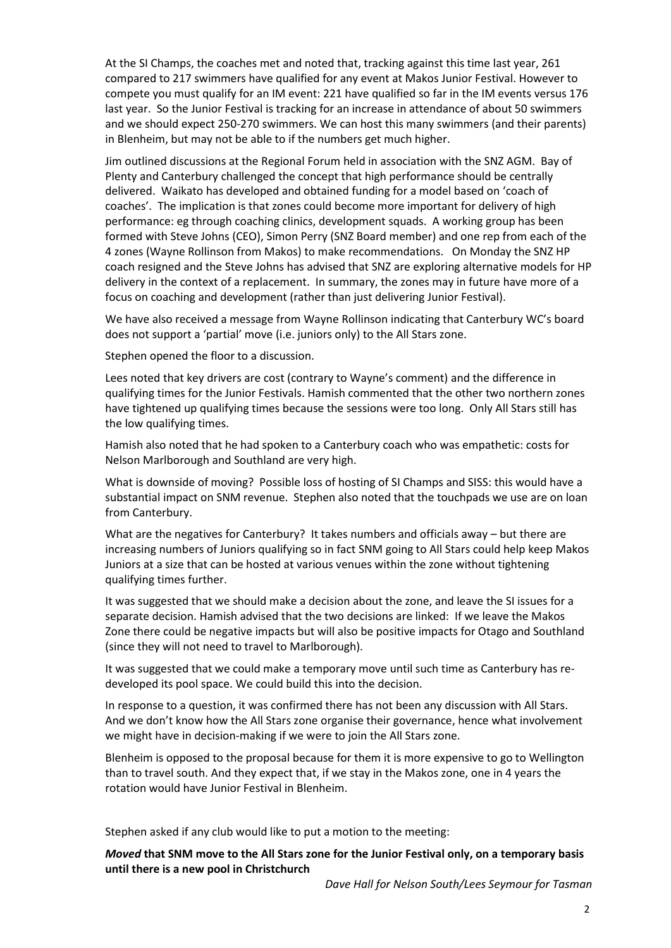At the SI Champs, the coaches met and noted that, tracking against this time last year, 261 compared to 217 swimmers have qualified for any event at Makos Junior Festival. However to compete you must qualify for an IM event: 221 have qualified so far in the IM events versus 176 last year. So the Junior Festival is tracking for an increase in attendance of about 50 swimmers and we should expect 250-270 swimmers. We can host this many swimmers (and their parents) in Blenheim, but may not be able to if the numbers get much higher.

Jim outlined discussions at the Regional Forum held in association with the SNZ AGM. Bay of Plenty and Canterbury challenged the concept that high performance should be centrally delivered. Waikato has developed and obtained funding for a model based on 'coach of coaches'. The implication is that zones could become more important for delivery of high performance: eg through coaching clinics, development squads. A working group has been formed with Steve Johns (CEO), Simon Perry (SNZ Board member) and one rep from each of the 4 zones (Wayne Rollinson from Makos) to make recommendations. On Monday the SNZ HP coach resigned and the Steve Johns has advised that SNZ are exploring alternative models for HP delivery in the context of a replacement. In summary, the zones may in future have more of a focus on coaching and development (rather than just delivering Junior Festival).

We have also received a message from Wayne Rollinson indicating that Canterbury WC's board does not support a 'partial' move (i.e. juniors only) to the All Stars zone.

Stephen opened the floor to a discussion.

Lees noted that key drivers are cost (contrary to Wayne's comment) and the difference in qualifying times for the Junior Festivals. Hamish commented that the other two northern zones have tightened up qualifying times because the sessions were too long. Only All Stars still has the low qualifying times.

Hamish also noted that he had spoken to a Canterbury coach who was empathetic: costs for Nelson Marlborough and Southland are very high.

What is downside of moving? Possible loss of hosting of SI Champs and SISS: this would have a substantial impact on SNM revenue. Stephen also noted that the touchpads we use are on loan from Canterbury.

What are the negatives for Canterbury? It takes numbers and officials away – but there are increasing numbers of Juniors qualifying so in fact SNM going to All Stars could help keep Makos Juniors at a size that can be hosted at various venues within the zone without tightening qualifying times further.

It was suggested that we should make a decision about the zone, and leave the SI issues for a separate decision. Hamish advised that the two decisions are linked: If we leave the Makos Zone there could be negative impacts but will also be positive impacts for Otago and Southland (since they will not need to travel to Marlborough).

It was suggested that we could make a temporary move until such time as Canterbury has redeveloped its pool space. We could build this into the decision.

In response to a question, it was confirmed there has not been any discussion with All Stars. And we don't know how the All Stars zone organise their governance, hence what involvement we might have in decision-making if we were to join the All Stars zone.

Blenheim is opposed to the proposal because for them it is more expensive to go to Wellington than to travel south. And they expect that, if we stay in the Makos zone, one in 4 years the rotation would have Junior Festival in Blenheim.

Stephen asked if any club would like to put a motion to the meeting:

*Moved* **that SNM move to the All Stars zone for the Junior Festival only, on a temporary basis until there is a new pool in Christchurch**